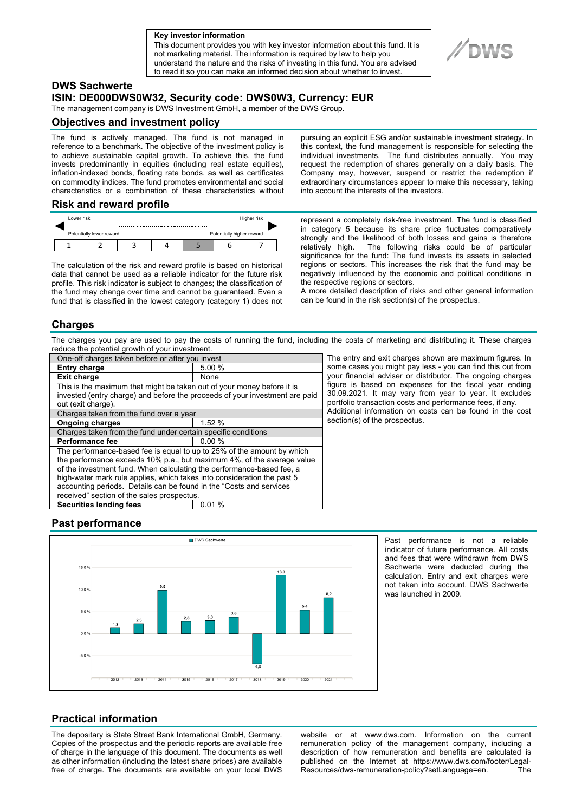#### **a Key investor information**

This document provides you with key investor information about this fund. It is not marketing material. The information is required by law to help you understand the nature and the risks of investing in this fund. You are advised to read it so you can make an informed decision about whether to invest.

## **DWS Sachwerte**

# **ISIN: DE000DWS0W32, Security code: DWS0W3, Currency: EUR**

The management company is DWS Investment GmbH, a member of the DWS Group.

### **Objectives and investment policy**

The fund is actively managed. The fund is not managed in reference to a benchmark. The objective of the investment policy is to achieve sustainable capital growth. To achieve this, the fund invests predominantly in equities (including real estate equities), inflation-indexed bonds, floating rate bonds, as well as certificates on commodity indices. The fund promotes environmental and social characteristics or a combination of these characteristics without

#### **Risk and reward profile**

|                          | Lower risk |  |  |  |                           | Higher risk |  |  |
|--------------------------|------------|--|--|--|---------------------------|-------------|--|--|
| Potentially lower reward |            |  |  |  | Potentially higher reward |             |  |  |
|                          |            |  |  |  |                           |             |  |  |

The calculation of the risk and reward profile is based on historical data that cannot be used as a reliable indicator for the future risk profile. This risk indicator is subject to changes; the classification of the fund may change over time and cannot be guaranteed. Even a fund that is classified in the lowest category (category 1) does not pursuing an explicit ESG and/or sustainable investment strategy. In this context, the fund management is responsible for selecting the individual investments. The fund distributes annually. You may request the redemption of shares generally on a daily basis. The Company may, however, suspend or restrict the redemption if extraordinary circumstances appear to make this necessary, taking into account the interests of the investors.

represent a completely risk-free investment. The fund is classified in category 5 because its share price fluctuates comparatively strongly and the likelihood of both losses and gains is therefore relatively high. The following risks could be of particular significance for the fund: The fund invests its assets in selected regions or sectors. This increases the risk that the fund may be negatively influenced by the economic and political conditions in the respective regions or sectors.

A more detailed description of risks and other general information can be found in the risk section(s) of the prospectus.

#### **Charges**

The charges you pay are used to pay the costs of running the fund, including the costs of marketing and distributing it. These charges reduce the potential growth of your investment.

| One-off charges taken before or after you invest                                                                                                      |        |  |  |  |  |
|-------------------------------------------------------------------------------------------------------------------------------------------------------|--------|--|--|--|--|
| <b>Entry charge</b>                                                                                                                                   | 5.00 % |  |  |  |  |
| <b>Exit charge</b>                                                                                                                                    | None   |  |  |  |  |
| This is the maximum that might be taken out of your money before it is<br>invested (entry charge) and before the proceeds of your investment are paid |        |  |  |  |  |
| out (exit charge).                                                                                                                                    |        |  |  |  |  |
| Charges taken from the fund over a year                                                                                                               |        |  |  |  |  |
| <b>Ongoing charges</b>                                                                                                                                | 1.52 % |  |  |  |  |
| Charges taken from the fund under certain specific conditions                                                                                         |        |  |  |  |  |
| Performance fee                                                                                                                                       | 0.00%  |  |  |  |  |
| The performance-based fee is equal to up to 25% of the amount by which                                                                                |        |  |  |  |  |
| the performance exceeds 10% p.a., but maximum 4%, of the average value                                                                                |        |  |  |  |  |
| of the investment fund. When calculating the performance-based fee, a                                                                                 |        |  |  |  |  |
| high-water mark rule applies, which takes into consideration the past 5                                                                               |        |  |  |  |  |
| accounting periods. Details can be found in the "Costs and services"                                                                                  |        |  |  |  |  |
| received" section of the sales prospectus.                                                                                                            |        |  |  |  |  |
| <b>Securities lending fees</b>                                                                                                                        | 0.01%  |  |  |  |  |

The entry and exit charges shown are maximum figures. In some cases you might pay less - you can find this out from your financial adviser or distributor. The ongoing charges figure is based on expenses for the fiscal year ending 30.09.2021. It may vary from year to year. It excludes portfolio transaction costs and performance fees, if any. Additional information on costs can be found in the cost section(s) of the prospectus.

## **Past performance**



Past performance is not a reliable indicator of future performance. All costs and fees that were withdrawn from DWS Sachwerte were deducted during the calculation. Entry and exit charges were not taken into account. DWS Sachwerte was launched in 2009.

### **Practical information**

The depositary is State Street Bank International GmbH, Germany. Copies of the prospectus and the periodic reports are available free of charge in the language of this document. The documents as well as other information (including the latest share prices) are available free of charge. The documents are available on your local DWS website or at www.dws.com. Information on the current remuneration policy of the management company, including a description of how remuneration and benefits are calculated is published on the Internet at https://www.dws.com/footer/Legal-Resources/dws-remuneration-policy?setLanguage=en. The